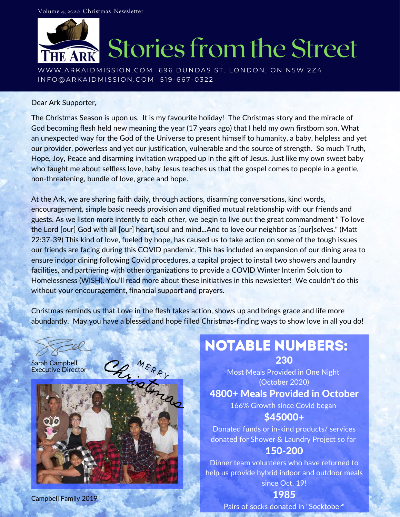

Dear Ark Supporter,

The Christmas Season is upon us. It is my favourite holiday! The Christmas story and the miracle of God becoming flesh held new meaning the year (17 years ago) that I held my own firstborn son. What an unexpected way for the God of the Universe to present himself to humanity, a baby, helpless and yet our provider, powerless and yet our justification, vulnerable and the source of strength. So much Truth, Hope, Joy, Peace and disarming invitation wrapped up in the gift of Jesus. Just like my own sweet baby who taught me about selfless love, baby Jesus teaches us that the gospel comes to people in a gentle, non-threatening, bundle of love, grace and hope.

At the Ark, we are sharing faith daily, through actions, disarming conversations, kind words, encouragement, simple basic needs provision and dignified mutual relationship with our friends and guests. As we listen more intently to each other, we begin to live out the great commandment " To love the Lord [our] God with all [our] heart, soul and mind...And to love our neighbor as [our]selves." (Matt 22:37-39) This kind of love, fueled by hope, has caused us to take action on some of the tough issues our friends are facing during this COVID pandemic. This has included an expansion of our dining area to ensure indoor dining following Covid procedures, a capital project to install two showers and laundry facilities, and partnering with other organizations to provide a COVID Winter Interim Solution to Homelessness (WISH). You'll read more about these initiatives in this newsletter! We couldn't do this without your encouragement, financial support and prayers.

Christmas reminds us that Love in the flesh takes action, shows up and brings grace and life more abundantly. May you have a blessed and hope filled Christmas-finding ways to show love in all you do!

Sarah Campbell Executive Director



#### Notable Numbers: 230

Most Meals Provided in One Night (October 2020)

#### 4800+ Meals Provided in October

166% Growth since Covid began \$45000+

Donated funds or in-kind products/ services donated for Shower & Laundry Project so far

#### 150-200

Dinner team volunteers who have returned to help us provide hybrid indoor and outdoor meals since Oct. 19!

Campbell Family 2019

1985

Pairs of socks donated in "Socktober"